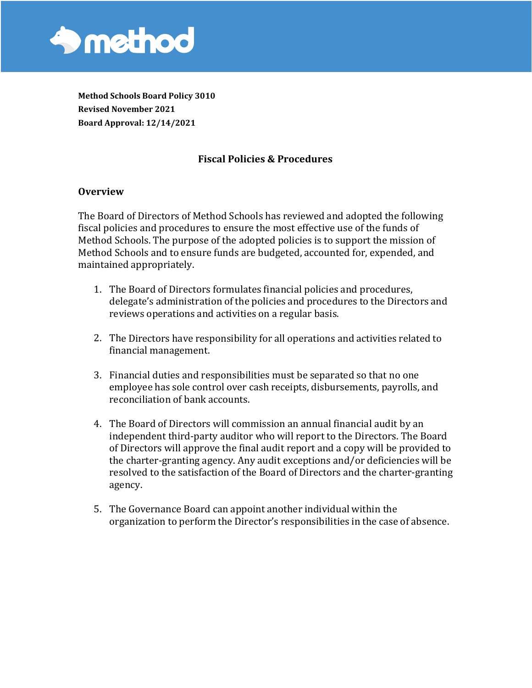

**Method Schools Board Policy 3010 Revised November 2021 Board Approval: 12/14/2021**

## **Fiscal Policies & Procedures**

#### **Overview**

The Board of Directors of Method Schools has reviewed and adopted the following fiscal policies and procedures to ensure the most effective use of the funds of Method Schools. The purpose of the adopted policies is to support the mission of Method Schools and to ensure funds are budgeted, accounted for, expended, and maintained appropriately.

- 1. The Board of Directors formulates financial policies and procedures, delegate's administration of the policies and procedures to the Directors and reviews operations and activities on a regular basis.
- 2. The Directors have responsibility for all operations and activities related to financial management.
- 3. Financial duties and responsibilities must be separated so that no one employee has sole control over cash receipts, disbursements, payrolls, and reconciliation of bank accounts.
- 4. The Board of Directors will commission an annual financial audit by an independent third-party auditor who will report to the Directors. The Board of Directors will approve the final audit report and a copy will be provided to the charter-granting agency. Any audit exceptions and/or deficiencies will be resolved to the satisfaction of the Board of Directors and the charter-granting agency.
- 5. The Governance Board can appoint another individual within the organization to perform the Director's responsibilities in the case of absence.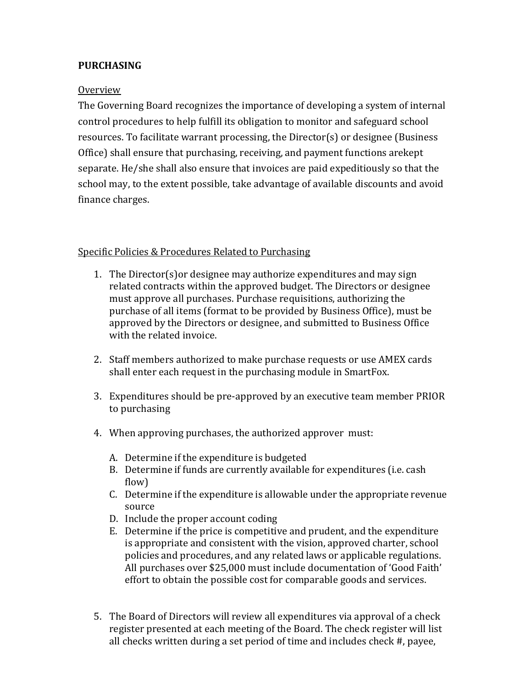## **PURCHASING**

#### Overview

The Governing Board recognizes the importance of developing a system of internal control procedures to help fulfill its obligation to monitor and safeguard school resources. To facilitate warrant processing, the Director(s) or designee (Business Office) shall ensure that purchasing, receiving, and payment functions arekept separate. He/she shall also ensure that invoices are paid expeditiously so that the school may, to the extent possible, take advantage of available discounts and avoid finance charges.

#### Specific Policies & Procedures Related to Purchasing

- 1. The Director(s)or designee may authorize expenditures and may sign related contracts within the approved budget. The Directors or designee must approve all purchases. Purchase requisitions, authorizing the purchase of all items (format to be provided by Business Office), must be approved by the Directors or designee, and submitted to Business Office with the related invoice.
- 2. Staff members authorized to make purchase requests or use AMEX cards shall enter each request in the purchasing module in SmartFox.
- 3. Expenditures should be pre-approved by an executive team member PRIOR to purchasing
- 4. When approving purchases, the authorized approver must:
	- A. Determine if the expenditure is budgeted
	- B. Determine if funds are currently available for expenditures (i.e. cash flow)
	- C. Determine if the expenditure is allowable under the appropriate revenue source
	- D. Include the proper account coding
	- E. Determine if the price is competitive and prudent, and the expenditure is appropriate and consistent with the vision, approved charter, school policies and procedures, and any related laws or applicable regulations. All purchases over \$25,000 must include documentation of 'Good Faith' effort to obtain the possible cost for comparable goods and services.
- 5. The Board of Directors will review all expenditures via approval of a check register presented at each meeting of the Board. The check register will list all checks written during a set period of time and includes check #, payee,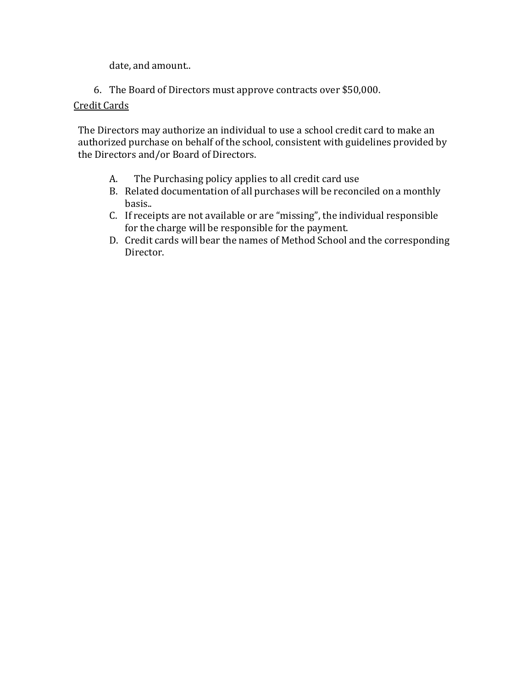date, and amount..

6. The Board of Directors must approve contracts over \$50,000.

### Credit Cards

The Directors may authorize an individual to use a school credit card to make an authorized purchase on behalf of the school, consistent with guidelines provided by the Directors and/or Board of Directors.

- A. The Purchasing policy applies to all credit card use
- B. Related documentation of all purchases will be reconciled on a monthly basis..
- C. If receipts are not available or are "missing", the individual responsible for the charge will be responsible for the payment.
- D. Credit cards will bear the names of Method School and the corresponding Director.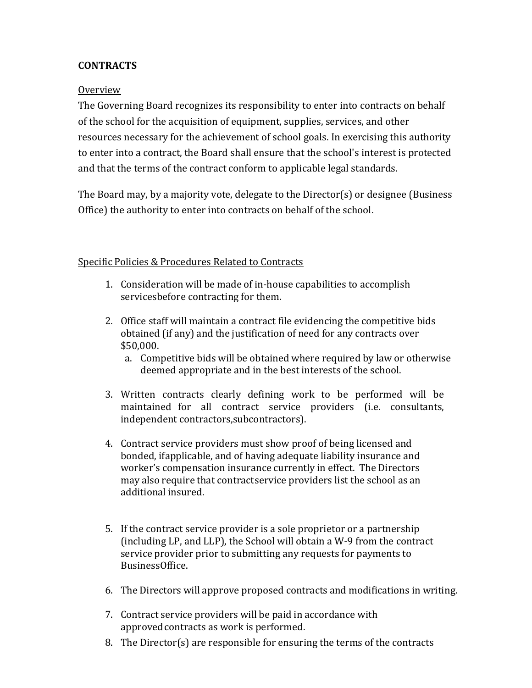## **CONTRACTS**

#### Overview

The Governing Board recognizes its responsibility to enter into contracts on behalf of the school for the acquisition of equipment, supplies, services, and other resources necessary for the achievement of school goals. In exercising this authority to enter into a contract, the Board shall ensure that the school's interest is protected and that the terms of the contract conform to applicable legal standards.

The Board may, by a majority vote, delegate to the Director(s) or designee (Business Office) the authority to enter into contracts on behalf of the school.

### Specific Policies & Procedures Related to Contracts

- 1. Consideration will be made of in-house capabilities to accomplish servicesbefore contracting for them.
- 2. Office staff will maintain a contract file evidencing the competitive bids obtained (if any) and the justification of need for any contracts over \$50,000.
	- a. Competitive bids will be obtained where required by law or otherwise deemed appropriate and in the best interests of the school.
- 3. Written contracts clearly defining work to be performed will be maintained for all contract service providers (i.e. consultants, independent contractors,subcontractors).
- 4. Contract service providers must show proof of being licensed and bonded, ifapplicable, and of having adequate liability insurance and worker's compensation insurance currently in effect. The Directors may also require that contractservice providers list the school as an additional insured.
- 5. If the contract service provider is a sole proprietor or a partnership (including LP, and LLP), the School will obtain a W-9 from the contract service provider prior to submitting any requests for payments to BusinessOffice.
- 6. The Directors will approve proposed contracts and modifications in writing.
- 7. Contract service providers will be paid in accordance with approved contracts as work is performed.
- 8. The Director(s) are responsible for ensuring the terms of the contracts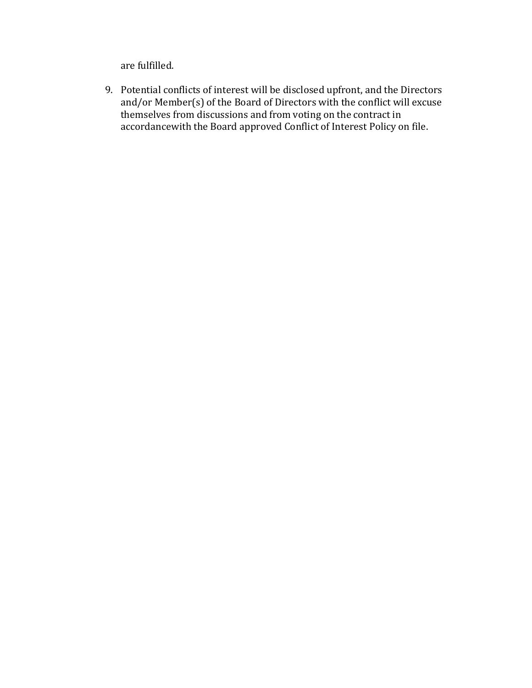are fulfilled.

9. Potential conflicts of interest will be disclosed upfront, and the Directors and/or Member(s) of the Board of Directors with the conflict will excuse themselves from discussions and from voting on the contract in accordancewith the Board approved Conflict of Interest Policy on file.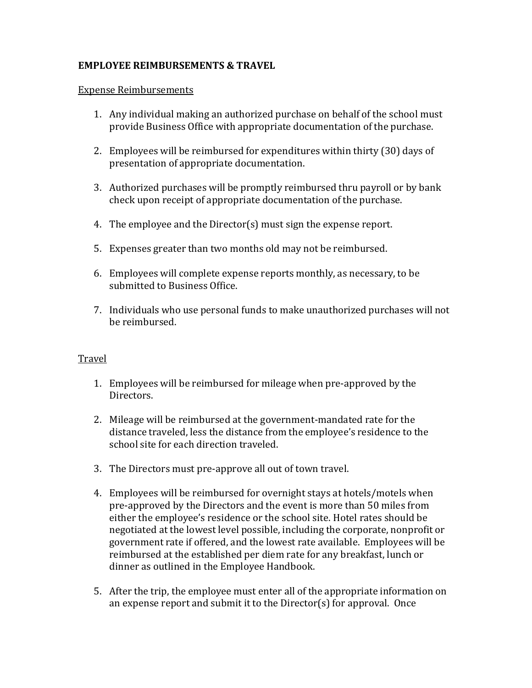### **EMPLOYEE REIMBURSEMENTS & TRAVEL**

#### Expense Reimbursements

- 1. Any individual making an authorized purchase on behalf of the school must provide Business Office with appropriate documentation of the purchase.
- 2. Employees will be reimbursed for expenditures within thirty (30) days of presentation of appropriate documentation.
- 3. Authorized purchases will be promptly reimbursed thru payroll or by bank check upon receipt of appropriate documentation of the purchase.
- 4. The employee and the Director(s) must sign the expense report.
- 5. Expenses greater than two months old may not be reimbursed.
- 6. Employees will complete expense reports monthly, as necessary, to be submitted to Business Office.
- 7. Individuals who use personal funds to make unauthorized purchases will not be reimbursed.

### Travel

- 1. Employees will be reimbursed for mileage when pre-approved by the Directors.
- 2. Mileage will be reimbursed at the government-mandated rate for the distance traveled, less the distance from the employee's residence to the school site for each direction traveled.
- 3. The Directors must pre-approve all out of town travel.
- 4. Employees will be reimbursed for overnight stays at hotels/motels when pre-approved by the Directors and the event is more than 50 miles from either the employee's residence or the school site. Hotel rates should be negotiated at the lowest level possible, including the corporate, nonprofit or government rate if offered, and the lowest rate available. Employees will be reimbursed at the established per diem rate for any breakfast, lunch or dinner as outlined in the Employee Handbook.
- 5. After the trip, the employee must enter all of the appropriate information on an expense report and submit it to the Director(s) for approval. Once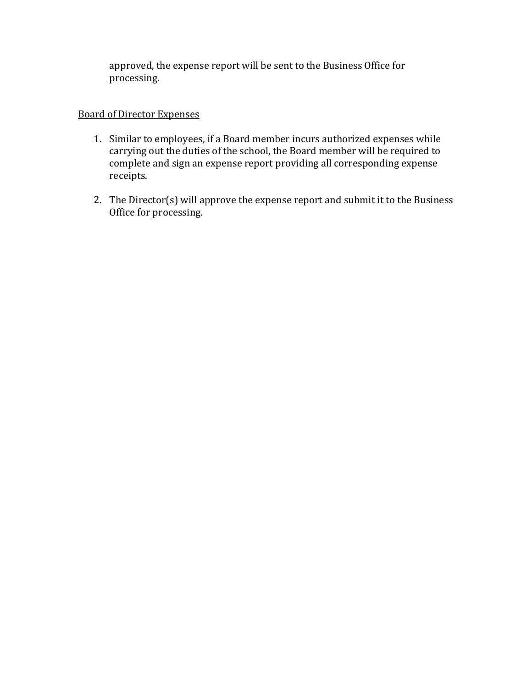approved, the expense report will be sent to the Business Office for processing.

### Board of Director Expenses

- 1. Similar to employees, if a Board member incurs authorized expenses while carrying out the duties of the school, the Board member will be required to complete and sign an expense report providing all corresponding expense receipts.
- 2. The Director(s) will approve the expense report and submit it to the Business Office for processing.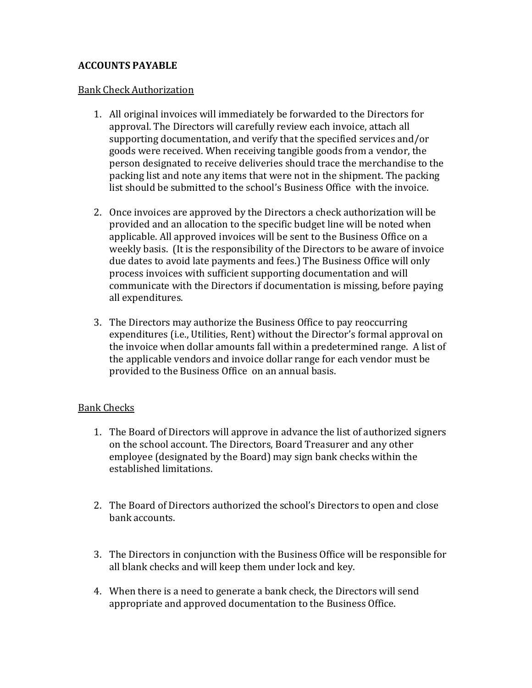### **ACCOUNTS PAYABLE**

#### Bank Check Authorization

- 1. All original invoices will immediately be forwarded to the Directors for approval. The Directors will carefully review each invoice, attach all supporting documentation, and verify that the specified services and/or goods were received. When receiving tangible goods from a vendor, the person designated to receive deliveries should trace the merchandise to the packing list and note any items that were not in the shipment. The packing list should be submitted to the school's Business Office with the invoice.
- 2. Once invoices are approved by the Directors a check authorization will be provided and an allocation to the specific budget line will be noted when applicable. All approved invoices will be sent to the Business Office on a weekly basis. (It is the responsibility of the Directors to be aware of invoice due dates to avoid late payments and fees.) The Business Office will only process invoices with sufficient supporting documentation and will communicate with the Directors if documentation is missing, before paying all expenditures.
- 3. The Directors may authorize the Business Office to pay reoccurring expenditures (i.e., Utilities, Rent) without the Director's formal approval on the invoice when dollar amounts fall within a predetermined range. A list of the applicable vendors and invoice dollar range for each vendor must be provided to the Business Office on an annual basis.

### Bank Checks

- 1. The Board of Directors will approve in advance the list of authorized signers on the school account. The Directors, Board Treasurer and any other employee (designated by the Board) may sign bank checks within the established limitations.
- 2. The Board of Directors authorized the school's Directors to open and close bank accounts.
- 3. The Directors in conjunction with the Business Office will be responsible for all blank checks and will keep them under lock and key.
- 4. When there is a need to generate a bank check, the Directors will send appropriate and approved documentation to the Business Office.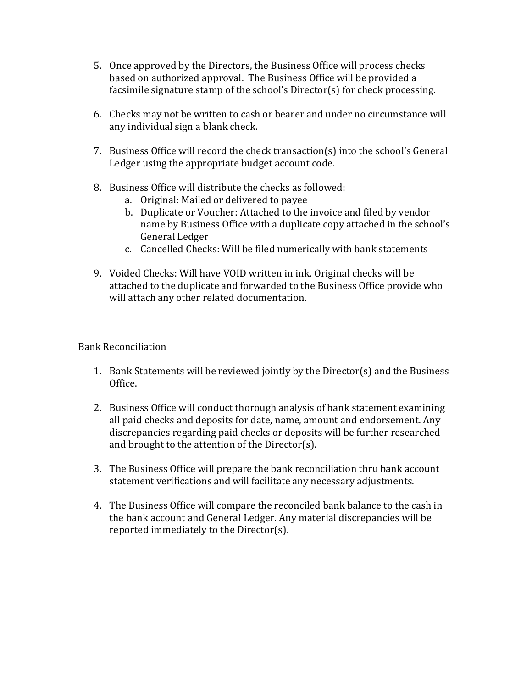- 5. Once approved by the Directors, the Business Office will process checks based on authorized approval. The Business Office will be provided a facsimile signature stamp of the school's Director(s) for check processing.
- 6. Checks may not be written to cash or bearer and under no circumstance will any individual sign a blank check.
- 7. Business Office will record the check transaction(s) into the school's General Ledger using the appropriate budget account code.
- 8. Business Office will distribute the checks as followed:
	- a. Original: Mailed or delivered to payee
	- b. Duplicate or Voucher: Attached to the invoice and filed by vendor name by Business Office with a duplicate copy attached in the school's General Ledger
	- c. Cancelled Checks: Will be filed numerically with bank statements
- 9. Voided Checks: Will have VOID written in ink. Original checks will be attached to the duplicate and forwarded to the Business Office provide who will attach any other related documentation.

### Bank Reconciliation

- 1. Bank Statements will be reviewed jointly by the Director(s) and the Business Office.
- 2. Business Office will conduct thorough analysis of bank statement examining all paid checks and deposits for date, name, amount and endorsement. Any discrepancies regarding paid checks or deposits will be further researched and brought to the attention of the Director(s).
- 3. The Business Office will prepare the bank reconciliation thru bank account statement verifications and will facilitate any necessary adjustments.
- 4. The Business Office will compare the reconciled bank balance to the cash in the bank account and General Ledger. Any material discrepancies will be reported immediately to the Director(s).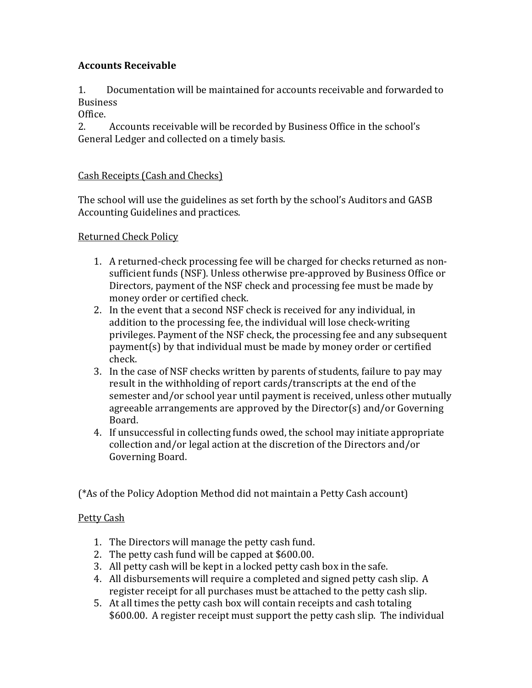# **Accounts Receivable**

1. Documentation will be maintained for accounts receivable and forwarded to **Business** 

Office.<br>2.

2. Accounts receivable will be recorded by Business Office in the school's General Ledger and collected on a timely basis.

### Cash Receipts (Cash and Checks)

The school will use the guidelines as set forth by the school's Auditors and GASB Accounting Guidelines and practices.

Returned Check Policy

- 1. A returned-check processing fee will be charged for checks returned as nonsufficient funds (NSF). Unless otherwise pre-approved by Business Office or Directors, payment of the NSF check and processing fee must be made by money order or certified check.
- 2. In the event that a second NSF check is received for any individual, in addition to the processing fee, the individual will lose check-writing privileges. Payment of the NSF check, the processing fee and any subsequent payment(s) by that individual must be made by money order or certified check.
- 3. In the case of NSF checks written by parents of students, failure to pay may result in the withholding of report cards/transcripts at the end of the semester and/or school year until payment is received, unless other mutually agreeable arrangements are approved by the Director(s) and/or Governing Board.
- 4. If unsuccessful in collecting funds owed, the school may initiate appropriate collection and/or legal action at the discretion of the Directors and/or Governing Board.

(\*As of the Policy Adoption Method did not maintain a Petty Cash account)

# Petty Cash

- 1. The Directors will manage the petty cash fund.
- 2. The petty cash fund will be capped at \$600.00.
- 3. All petty cash will be kept in a locked petty cash box in the safe.
- 4. All disbursements will require a completed and signed petty cash slip. A register receipt for all purchases must be attached to the petty cash slip.
- 5. At all times the petty cash box will contain receipts and cash totaling \$600.00. A register receipt must support the petty cash slip. The individual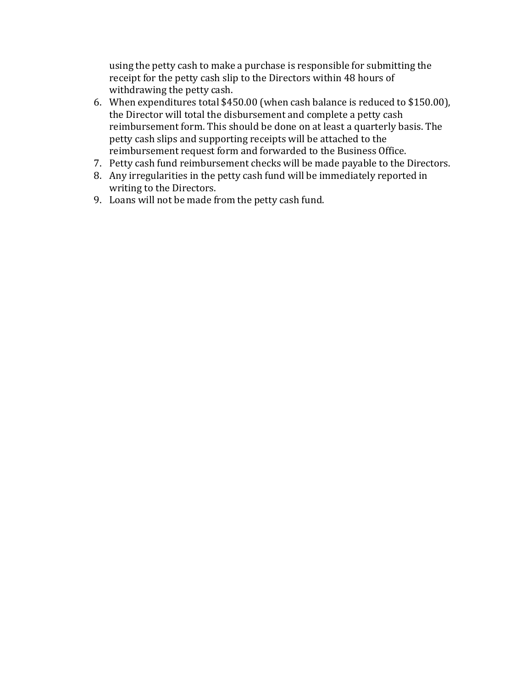using the petty cash to make a purchase is responsible for submitting the receipt for the petty cash slip to the Directors within 48 hours of withdrawing the petty cash.

- 6. When expenditures total \$450.00 (when cash balance is reduced to \$150.00), the Director will total the disbursement and complete a petty cash reimbursement form. This should be done on at least a quarterly basis. The petty cash slips and supporting receipts will be attached to the reimbursement request form and forwarded to the Business Office.
- 7. Petty cash fund reimbursement checks will be made payable to the Directors.
- 8. Any irregularities in the petty cash fund will be immediately reported in writing to the Directors.
- 9. Loans will not be made from the petty cash fund.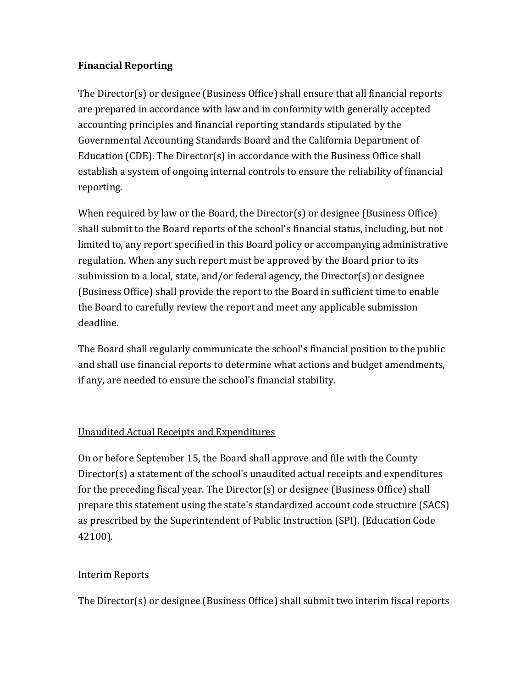# **Financial Reporting**

The Director(s) or designee (Business Office) shall ensure that all financial reports are prepared in accordance with law and in conformity with generally accepted accounting principles and financial reporting standards stipulated by the Governmental Accounting Standards Board and the California Department of Education (CDE). The Director(s) in accordance with the Business Office shall establish a system of ongoing internal controls to ensure the reliability of financial reporting.

When required by law or the Board, the Director(s) or designee (Business Office) shall submit to the Board reports of the school's financial status, including, but not limited to, any report specified in this Board policy or accompanying administrative regulation. When any such report must be approved by the Board prior to its submission to a local, state, and/or federal agency, the Director(s) or designee (Business Office) shall provide the report to the Board in sufficient time to enable the Board to carefully review the report and meet any applicable submission deadline.

The Board shall regularly communicate the school's financial position to the public and shall use financial reports to determine what actions and budget amendments, if any, are needed to ensure the school's financial stability.

# Unaudited Actual Receipts and Expenditures

On or before September 15, the Board shall approve and file with the County Director(s) a statement of the school's unaudited actual receipts and expenditures for the preceding fiscal year. The Director(s) or designee (Business Office) shall prepare this statement using the state's standardized account code structure (SACS) as prescribed by the Superintendent of Public Instruction (SPI). (Education Code 42100).

# Interim Reports

The Director(s) or designee (Business Office) shall submit two interim fiscal reports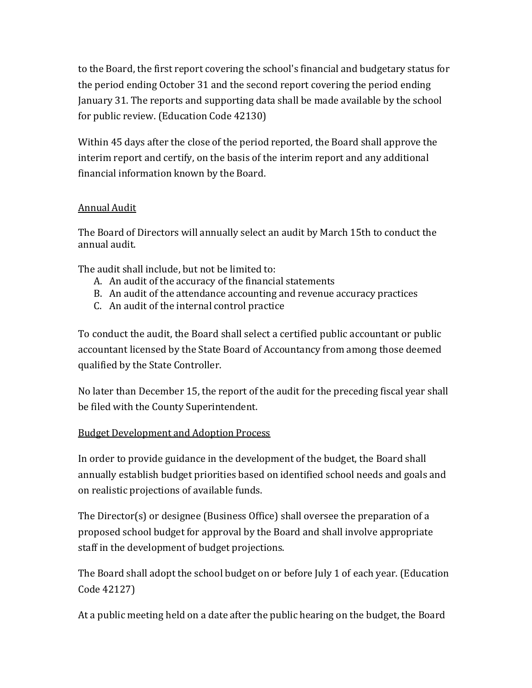to the Board, the first report covering the school's financial and budgetary status for the period ending October 31 and the second report covering the period ending January 31. The reports and supporting data shall be made available by the school for public review. (Education Code 42130)

Within 45 days after the close of the period reported, the Board shall approve the interim report and certify, on the basis of the interim report and any additional financial information known by the Board.

# Annual Audit

The Board of Directors will annually select an audit by March 15th to conduct the annual audit.

The audit shall include, but not be limited to:

- A. An audit of the accuracy of the financial statements
- B. An audit of the attendance accounting and revenue accuracy practices
- C. An audit of the internal control practice

To conduct the audit, the Board shall select a certified public accountant or public accountant licensed by the State Board of Accountancy from among those deemed qualified by the State Controller.

No later than December 15, the report of the audit for the preceding fiscal year shall be filed with the County Superintendent.

# Budget Development and Adoption Process

In order to provide guidance in the development of the budget, the Board shall annually establish budget priorities based on identified school needs and goals and on realistic projections of available funds.

The Director(s) or designee (Business Office) shall oversee the preparation of a proposed school budget for approval by the Board and shall involve appropriate staff in the development of budget projections.

The Board shall adopt the school budget on or before July 1 of each year. (Education Code 42127)

At a public meeting held on a date after the public hearing on the budget, the Board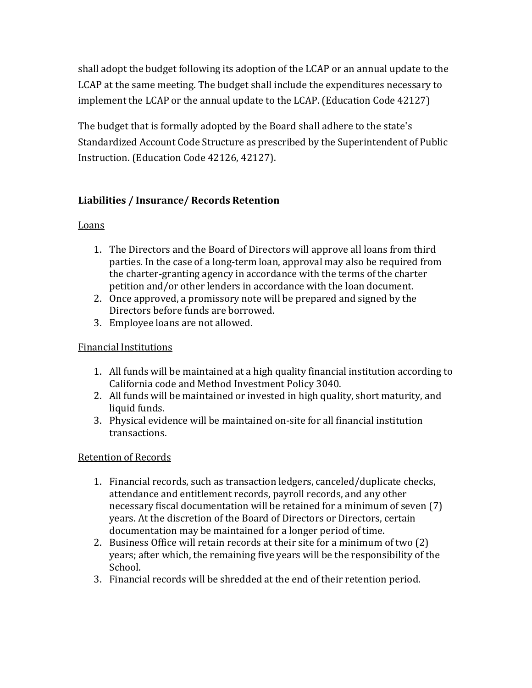shall adopt the budget following its adoption of the LCAP or an annual update to the LCAP at the same meeting. The budget shall include the expenditures necessary to implement the LCAP or the annual update to the LCAP. (Education Code 42127)

The budget that is formally adopted by the Board shall adhere to the state's Standardized Account Code Structure as prescribed by the Superintendent of Public Instruction. (Education Code 42126, 42127).

# **Liabilities / Insurance/ Records Retention**

# **Loans**

- 1. The Directors and the Board of Directors will approve all loans from third parties. In the case of a long-term loan, approval may also be required from the charter-granting agency in accordance with the terms of the charter petition and/or other lenders in accordance with the loan document.
- 2. Once approved, a promissory note will be prepared and signed by the Directors before funds are borrowed.
- 3. Employee loans are not allowed.

# Financial Institutions

- 1. All funds will be maintained at a high quality financial institution according to California code and Method Investment Policy 3040.
- 2. All funds will be maintained or invested in high quality, short maturity, and liquid funds.
- 3. Physical evidence will be maintained on-site for all financial institution transactions.

# Retention of Records

- 1. Financial records, such as transaction ledgers, canceled/duplicate checks, attendance and entitlement records, payroll records, and any other necessary fiscal documentation will be retained for a minimum of seven (7) years. At the discretion of the Board of Directors or Directors, certain documentation may be maintained for a longer period of time.
- 2. Business Office will retain records at their site for a minimum of two (2) years; after which, the remaining five years will be the responsibility of the School.
- 3. Financial records will be shredded at the end of their retention period.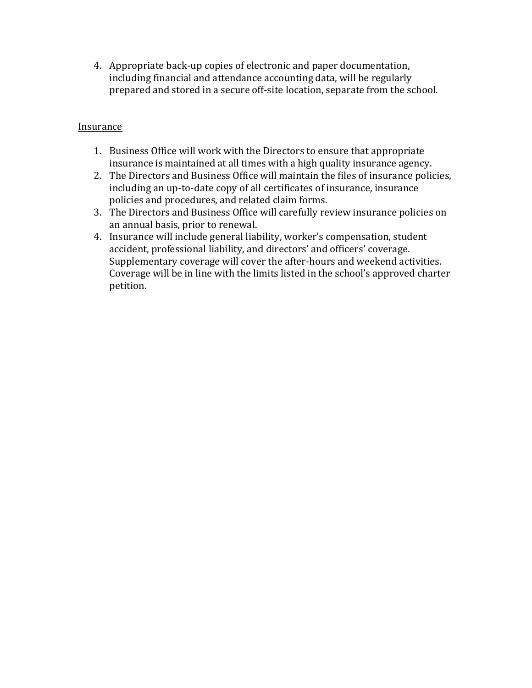4. Appropriate back-up copies of electronic and paper documentation, including financial and attendance accounting data, will be regularly prepared and stored in a secure off-site location, separate from the school.

### Insurance

- 1. Business Office will work with the Directors to ensure that appropriate insurance is maintained at all times with a high quality insurance agency.
- 2. The Directors and Business Office will maintain the files of insurance policies, including an up-to-date copy of all certificates of insurance, insurance policies and procedures, and related claim forms.
- 3. The Directors and Business Office will carefully review insurance policies on an annual basis, prior to renewal.
- 4. Insurance will include general liability, worker's compensation, student accident, professional liability, and directors' and officers' coverage. Supplementary coverage will cover the after-hours and weekend activities. Coverage will be in line with the limits listed in the school's approved charter petition.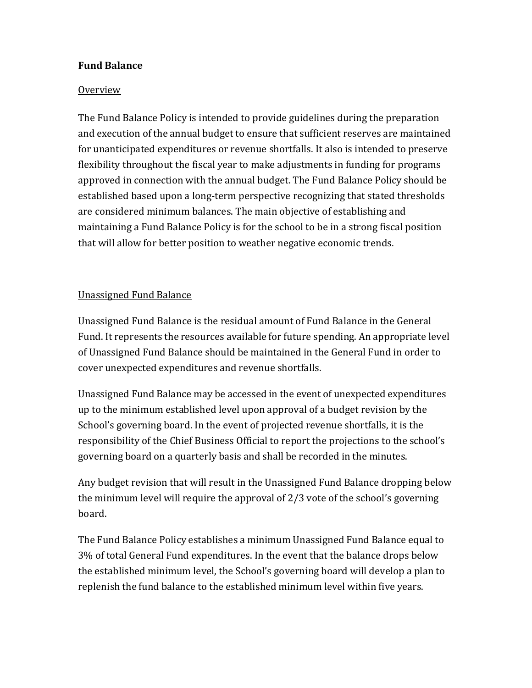## **Fund Balance**

#### Overview

The Fund Balance Policy is intended to provide guidelines during the preparation and execution of the annual budget to ensure that sufficient reserves are maintained for unanticipated expenditures or revenue shortfalls. It also is intended to preserve flexibility throughout the fiscal year to make adjustments in funding for programs approved in connection with the annual budget. The Fund Balance Policy should be established based upon a long-term perspective recognizing that stated thresholds are considered minimum balances. The main objective of establishing and maintaining a Fund Balance Policy is for the school to be in a strong fiscal position that will allow for better position to weather negative economic trends.

### Unassigned Fund Balance

Unassigned Fund Balance is the residual amount of Fund Balance in the General Fund. It represents the resources available for future spending. An appropriate level of Unassigned Fund Balance should be maintained in the General Fund in order to cover unexpected expenditures and revenue shortfalls.

Unassigned Fund Balance may be accessed in the event of unexpected expenditures up to the minimum established level upon approval of a budget revision by the School's governing board. In the event of projected revenue shortfalls, it is the responsibility of the Chief Business Official to report the projections to the school's governing board on a quarterly basis and shall be recorded in the minutes.

Any budget revision that will result in the Unassigned Fund Balance dropping below the minimum level will require the approval of 2/3 vote of the school's governing board.

The Fund Balance Policy establishes a minimum Unassigned Fund Balance equal to 3% of total General Fund expenditures. In the event that the balance drops below the established minimum level, the School's governing board will develop a plan to replenish the fund balance to the established minimum level within five years.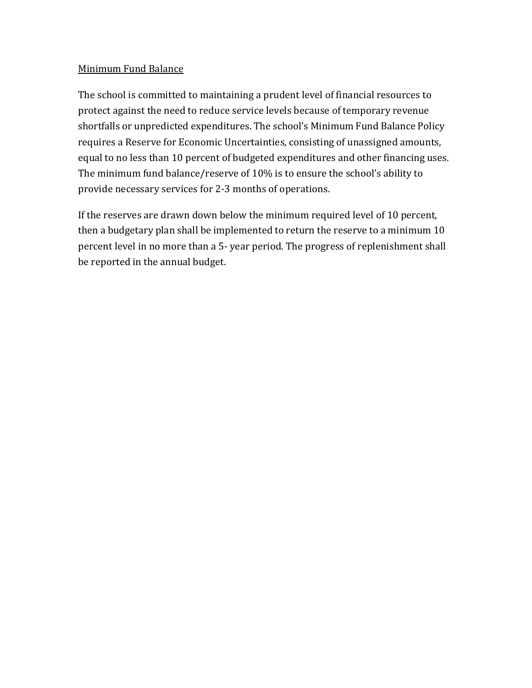### Minimum Fund Balance

The school is committed to maintaining a prudent level of financial resources to protect against the need to reduce service levels because of temporary revenue shortfalls or unpredicted expenditures. The school's Minimum Fund Balance Policy requires a Reserve for Economic Uncertainties, consisting of unassigned amounts, equal to no less than 10 percent of budgeted expenditures and other financing uses. The minimum fund balance/reserve of 10% is to ensure the school's ability to provide necessary services for 2-3 months of operations.

If the reserves are drawn down below the minimum required level of 10 percent, then a budgetary plan shall be implemented to return the reserve to a minimum 10 percent level in no more than a 5- year period. The progress of replenishment shall be reported in the annual budget.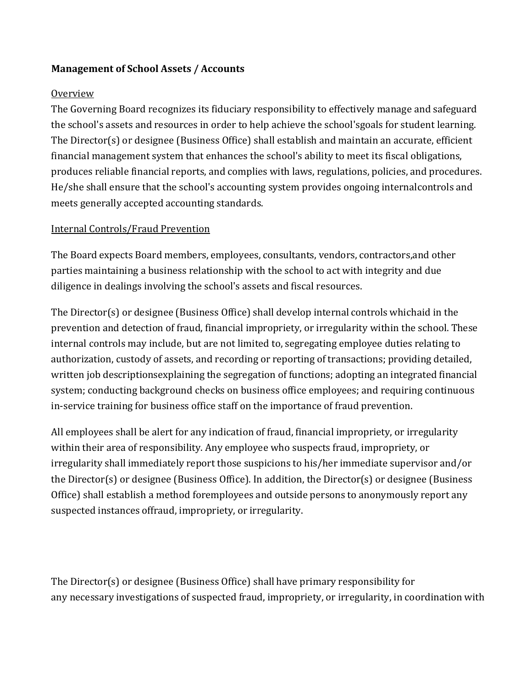# **Management of School Assets / Accounts**

### **Overview**

The Governing Board recognizes its fiduciary responsibility to effectively manage and safeguard the school's assets and resources in order to help achieve the school'sgoals for student learning. The Director(s) or designee (Business Office) shall establish and maintain an accurate, efficient financial management system that enhances the school's ability to meet its fiscal obligations, produces reliable financial reports, and complies with laws, regulations, policies, and procedures. He/she shall ensure that the school's accounting system provides ongoing internalcontrols and meets generally accepted accounting standards.

### Internal Controls/Fraud Prevention

The Board expects Board members, employees, consultants, vendors, contractors,and other parties maintaining a business relationship with the school to act with integrity and due diligence in dealings involving the school's assets and fiscal resources.

The Director(s) or designee (Business Office) shall develop internal controls whichaid in the prevention and detection of fraud, financial impropriety, or irregularity within the school. These internal controls may include, but are not limited to, segregating employee duties relating to authorization, custody of assets, and recording or reporting of transactions; providing detailed, written job descriptionsexplaining the segregation of functions; adopting an integrated financial system; conducting background checks on business office employees; and requiring continuous in-service training for business office staff on the importance of fraud prevention.

All employees shall be alert for any indication of fraud, financial impropriety, or irregularity within their area of responsibility. Any employee who suspects fraud, impropriety, or irregularity shall immediately report those suspicions to his/her immediate supervisor and/or the Director(s) or designee (Business Office). In addition, the Director(s) or designee (Business Office) shall establish a method foremployees and outside persons to anonymously report any suspected instances offraud, impropriety, or irregularity.

The Director(s) or designee (Business Office) shall have primary responsibility for any necessary investigations of suspected fraud, impropriety, or irregularity, in coordination with